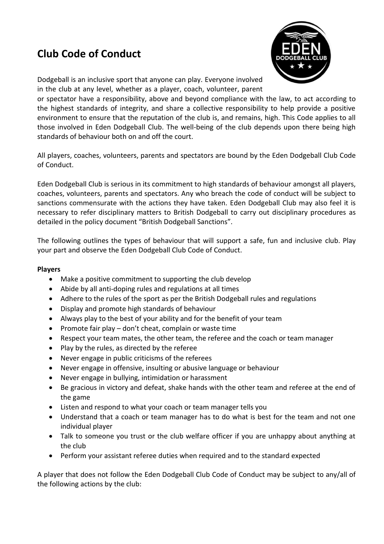## **Club Code of Conduct**



Dodgeball is an inclusive sport that anyone can play. Everyone involved in the club at any level, whether as a player, coach, volunteer, parent

or spectator have a responsibility, above and beyond compliance with the law, to act according to the highest standards of integrity, and share a collective responsibility to help provide a positive environment to ensure that the reputation of the club is, and remains, high. This Code applies to all those involved in Eden Dodgeball Club. The well-being of the club depends upon there being high standards of behaviour both on and off the court.

All players, coaches, volunteers, parents and spectators are bound by the Eden Dodgeball Club Code of Conduct.

Eden Dodgeball Club is serious in its commitment to high standards of behaviour amongst all players, coaches, volunteers, parents and spectators. Any who breach the code of conduct will be subject to sanctions commensurate with the actions they have taken. Eden Dodgeball Club may also feel it is necessary to refer disciplinary matters to British Dodgeball to carry out disciplinary procedures as detailed in the policy document "British Dodgeball Sanctions".

The following outlines the types of behaviour that will support a safe, fun and inclusive club. Play your part and observe the Eden Dodgeball Club Code of Conduct.

## **Players**

- Make a positive commitment to supporting the club develop
- Abide by all anti-doping rules and regulations at all times
- Adhere to the rules of the sport as per the British Dodgeball rules and regulations
- Display and promote high standards of behaviour
- Always play to the best of your ability and for the benefit of your team
- Promote fair play  $-$  don't cheat, complain or waste time
- Respect your team mates, the other team, the referee and the coach or team manager
- Play by the rules, as directed by the referee
- Never engage in public criticisms of the referees
- Never engage in offensive, insulting or abusive language or behaviour
- Never engage in bullying, intimidation or harassment
- Be gracious in victory and defeat, shake hands with the other team and referee at the end of the game
- Listen and respond to what your coach or team manager tells you
- Understand that a coach or team manager has to do what is best for the team and not one individual player
- Talk to someone you trust or the club welfare officer if you are unhappy about anything at the club
- Perform your assistant referee duties when required and to the standard expected

A player that does not follow the Eden Dodgeball Club Code of Conduct may be subject to any/all of the following actions by the club: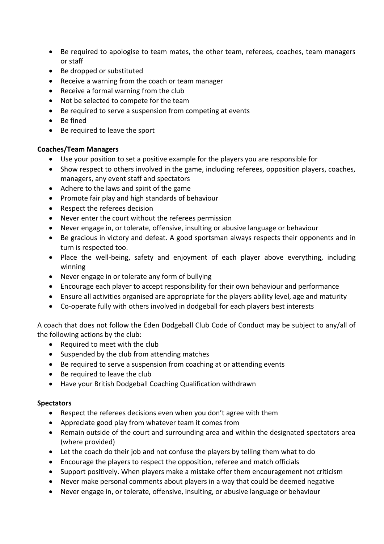- Be required to apologise to team mates, the other team, referees, coaches, team managers or staff
- Be dropped or substituted
- Receive a warning from the coach or team manager
- Receive a formal warning from the club
- Not be selected to compete for the team
- Be required to serve a suspension from competing at events
- Be fined
- Be required to leave the sport

## **Coaches/Team Managers**

- Use your position to set a positive example for the players you are responsible for
- Show respect to others involved in the game, including referees, opposition players, coaches, managers, any event staff and spectators
- Adhere to the laws and spirit of the game
- Promote fair play and high standards of behaviour
- Respect the referees decision
- Never enter the court without the referees permission
- Never engage in, or tolerate, offensive, insulting or abusive language or behaviour
- Be gracious in victory and defeat. A good sportsman always respects their opponents and in turn is respected too.
- Place the well-being, safety and enjoyment of each player above everything, including winning
- Never engage in or tolerate any form of bullying
- Encourage each player to accept responsibility for their own behaviour and performance
- Ensure all activities organised are appropriate for the players ability level, age and maturity
- Co-operate fully with others involved in dodgeball for each players best interests

A coach that does not follow the Eden Dodgeball Club Code of Conduct may be subject to any/all of the following actions by the club:

- Required to meet with the club
- Suspended by the club from attending matches
- Be required to serve a suspension from coaching at or attending events
- Be required to leave the club
- Have your British Dodgeball Coaching Qualification withdrawn

## **Spectators**

- Respect the referees decisions even when you don't agree with them
- Appreciate good play from whatever team it comes from
- Remain outside of the court and surrounding area and within the designated spectators area (where provided)
- Let the coach do their job and not confuse the players by telling them what to do
- Encourage the players to respect the opposition, referee and match officials
- Support positively. When players make a mistake offer them encouragement not criticism
- Never make personal comments about players in a way that could be deemed negative
- Never engage in, or tolerate, offensive, insulting, or abusive language or behaviour